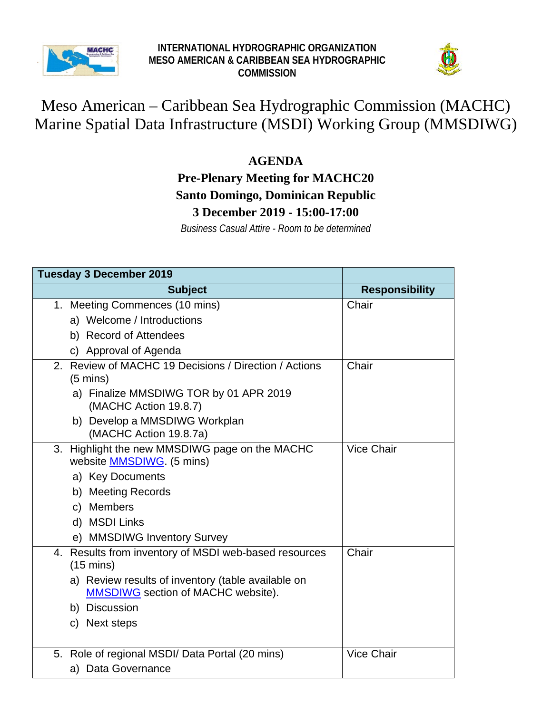



## Meso American – Caribbean Sea Hydrographic Commission (MACHC) Marine Spatial Data Infrastructure (MSDI) Working Group (MMSDIWG)

## **AGENDA**

## **Pre-Plenary Meeting for MACHC20 Santo Domingo, Dominican Republic 3 December 2019 - 15:00-17:00**

*Business Casual Attire - Room to be determined*

| <b>Tuesday 3 December 2019</b>                                                                  |                       |
|-------------------------------------------------------------------------------------------------|-----------------------|
| <b>Subject</b>                                                                                  | <b>Responsibility</b> |
| 1. Meeting Commences (10 mins)                                                                  | Chair                 |
| a) Welcome / Introductions                                                                      |                       |
| b) Record of Attendees                                                                          |                       |
| c) Approval of Agenda                                                                           |                       |
| 2. Review of MACHC 19 Decisions / Direction / Actions<br>$(5 \text{ mins})$                     | Chair                 |
| a) Finalize MMSDIWG TOR by 01 APR 2019<br>(MACHC Action 19.8.7)                                 |                       |
| b) Develop a MMSDIWG Workplan<br>(MACHC Action 19.8.7a)                                         |                       |
| Highlight the new MMSDIWG page on the MACHC<br>3.<br>website <b>MMSDIWG</b> (5 mins)            | <b>Vice Chair</b>     |
| a) Key Documents                                                                                |                       |
| b) Meeting Records                                                                              |                       |
| c) Members                                                                                      |                       |
| d) MSDI Links                                                                                   |                       |
| e) MMSDIWG Inventory Survey                                                                     |                       |
| 4. Results from inventory of MSDI web-based resources<br>$(15 \text{ mins})$                    | Chair                 |
| a) Review results of inventory (table available on<br><b>MMSDIWG</b> section of MACHC website). |                       |
| b) Discussion                                                                                   |                       |
| c) Next steps                                                                                   |                       |
| 5. Role of regional MSDI/ Data Portal (20 mins)                                                 | <b>Vice Chair</b>     |
| a) Data Governance                                                                              |                       |